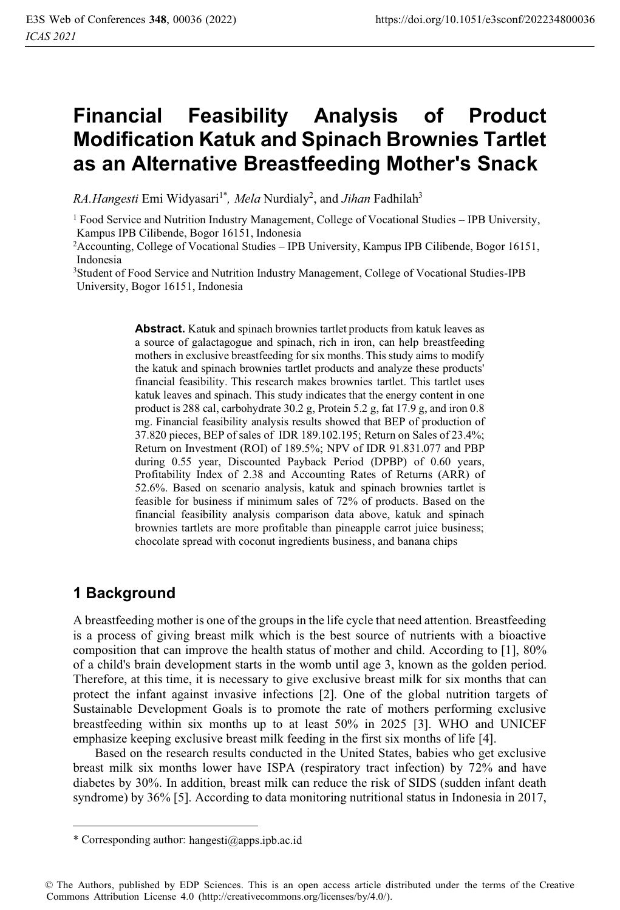# **Financial Feasibility Analysis of Product Modification Katuk and Spinach Brownies Tartlet as an Alternative Breastfeeding Mother's Snack**

*RA.Hangesti* Emi Widyasari<sup>1\*</sup>, *Mela* Nurdialy<sup>2</sup>, and *Jihan* Fadhilah<sup>3</sup>

<sup>3</sup>Student of Food Service and Nutrition Industry Management, College of Vocational Studies-IPB University, Bogor 16151, Indonesia

> **Abstract.** Katuk and spinach brownies tartlet products from katuk leaves as a source of galactagogue and spinach, rich in iron, can help breastfeeding mothers in exclusive breastfeeding for six months. This study aims to modify the katuk and spinach brownies tartlet products and analyze these products' financial feasibility. This research makes brownies tartlet. This tartlet uses katuk leaves and spinach. This study indicates that the energy content in one product is 288 cal, carbohydrate 30.2 g, Protein 5.2 g, fat 17.9 g, and iron 0.8 mg. Financial feasibility analysis results showed that BEP of production of 37.820 pieces, BEP of sales of IDR 189.102.195; Return on Sales of 23.4%; Return on Investment (ROI) of 189.5%; NPV of IDR 91.831.077 and PBP during 0.55 year, Discounted Payback Period (DPBP) of 0.60 years, Profitability Index of 2.38 and Accounting Rates of Returns (ARR) of 52.6%. Based on scenario analysis, katuk and spinach brownies tartlet is feasible for business if minimum sales of 72% of products. Based on the financial feasibility analysis comparison data above, katuk and spinach brownies tartlets are more profitable than pineapple carrot juice business; chocolate spread with coconut ingredients business, and banana chips

## **1 Background**

A breastfeeding mother is one of the groups in the life cycle that need attention. Breastfeeding is a process of giving breast milk which is the best source of nutrients with a bioactive composition that can improve the health status of mother and child. According to [1], 80% of a child's brain development starts in the womb until age 3, known as the golden period. Therefore, at this time, it is necessary to give exclusive breast milk for six months that can protect the infant against invasive infections [2]. One of the global nutrition targets of Sustainable Development Goals is to promote the rate of mothers performing exclusive breastfeeding within six months up to at least 50% in 2025 [3]. WHO and UNICEF emphasize keeping exclusive breast milk feeding in the first six months of life [4].

 Based on the research results conducted in the United States, babies who get exclusive breast milk six months lower have ISPA (respiratory tract infection) by 72% and have diabetes by 30%. In addition, breast milk can reduce the risk of SIDS (sudden infant death syndrome) by 36% [5]. According to data monitoring nutritional status in Indonesia in 2017,

 $<sup>1</sup>$  Food Service and Nutrition Industry Management, College of Vocational Studies – IPB University,</sup> Kampus IPB Cilibende, Bogor 16151, Indonesia

<sup>2</sup>Accounting, College of Vocational Studies – IPB University, Kampus IPB Cilibende, Bogor 16151,

<sup>\*</sup> Corresponding author: hangesti@apps.ipb.ac.id

<sup>©</sup> The Authors, published by EDP Sciences. This is an open access article distributed under the terms of the Creative Commons Attribution License 4.0 (http://creativecommons.org/licenses/by/4.0/).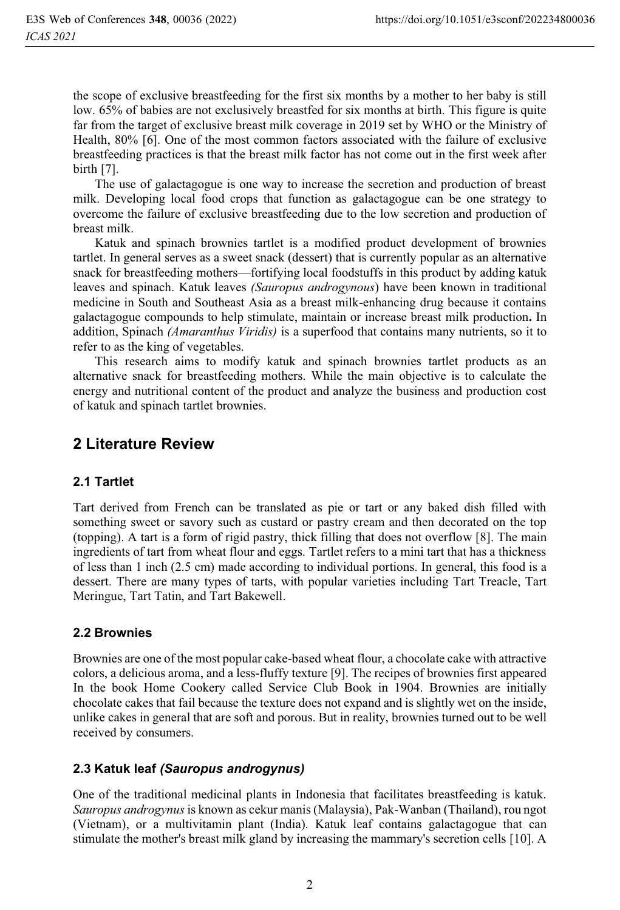the scope of exclusive breastfeeding for the first six months by a mother to her baby is still low. 65% of babies are not exclusively breastfed for six months at birth. This figure is quite far from the target of exclusive breast milk coverage in 2019 set by WHO or the Ministry of Health, 80% [6]. One of the most common factors associated with the failure of exclusive breastfeeding practices is that the breast milk factor has not come out in the first week after birth [7].

 The use of galactagogue is one way to increase the secretion and production of breast milk. Developing local food crops that function as galactagogue can be one strategy to overcome the failure of exclusive breastfeeding due to the low secretion and production of breast milk.

 Katuk and spinach brownies tartlet is a modified product development of brownies tartlet. In general serves as a sweet snack (dessert) that is currently popular as an alternative snack for breastfeeding mothers—fortifying local foodstuffs in this product by adding katuk leaves and spinach. Katuk leaves *(Sauropus androgynous*) have been known in traditional medicine in South and Southeast Asia as a breast milk-enhancing drug because it contains galactagogue compounds to help stimulate, maintain or increase breast milk production**.** In addition, Spinach *(Amaranthus Viridis)* is a superfood that contains many nutrients, so it to refer to as the king of vegetables.

 This research aims to modify katuk and spinach brownies tartlet products as an alternative snack for breastfeeding mothers. While the main objective is to calculate the energy and nutritional content of the product and analyze the business and production cost of katuk and spinach tartlet brownies.

## **2 Literature Review**

#### **2.1 Tartlet**

Tart derived from French can be translated as pie or tart or any baked dish filled with something sweet or savory such as custard or pastry cream and then decorated on the top (topping). A tart is a form of rigid pastry, thick filling that does not overflow [8]. The main ingredients of tart from wheat flour and eggs. Tartlet refers to a mini tart that has a thickness of less than 1 inch (2.5 cm) made according to individual portions. In general, this food is a dessert. There are many types of tarts, with popular varieties including Tart Treacle, Tart Meringue, Tart Tatin, and Tart Bakewell.

#### **2.2 Brownies**

Brownies are one of the most popular cake-based wheat flour, a chocolate cake with attractive colors, a delicious aroma, and a less-fluffy texture [9]. The recipes of brownies first appeared In the book Home Cookery called Service Club Book in 1904. Brownies are initially chocolate cakes that fail because the texture does not expand and is slightly wet on the inside, unlike cakes in general that are soft and porous. But in reality, brownies turned out to be well received by consumers.

## **2.3 Katuk leaf** *(Sauropus androgynus)*

One of the traditional medicinal plants in Indonesia that facilitates breastfeeding is katuk. *Sauropus androgynus* is known as cekur manis (Malaysia), Pak-Wanban (Thailand), rou ngot (Vietnam), or a multivitamin plant (India). Katuk leaf contains galactagogue that can stimulate the mother's breast milk gland by increasing the mammary's secretion cells [10]. A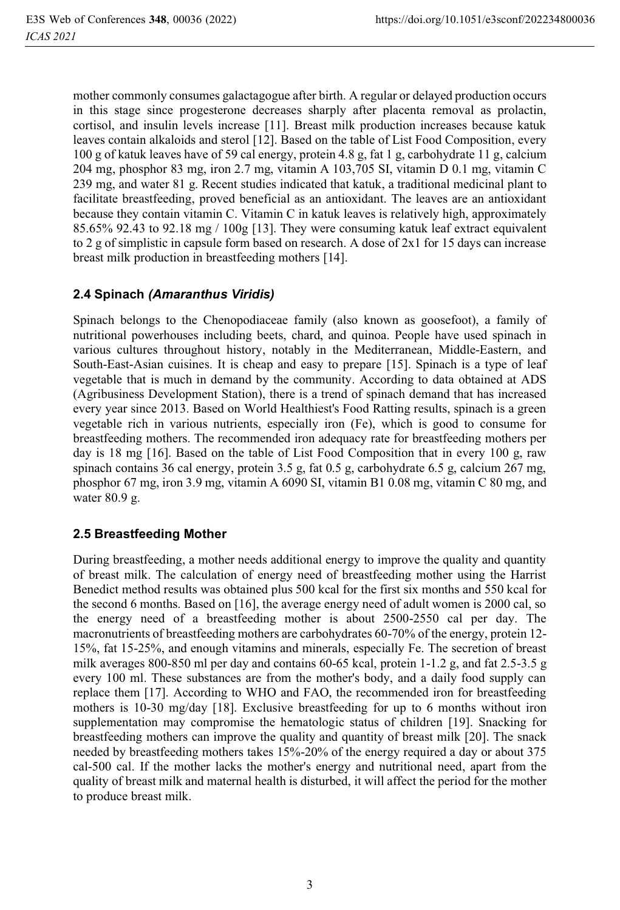mother commonly consumes galactagogue after birth. A regular or delayed production occurs in this stage since progesterone decreases sharply after placenta removal as prolactin, cortisol, and insulin levels increase [11]. Breast milk production increases because katuk leaves contain alkaloids and sterol [12]. Based on the table of List Food Composition, every 100 g of katuk leaves have of 59 cal energy, protein 4.8 g, fat 1 g, carbohydrate 11 g, calcium 204 mg, phosphor 83 mg, iron 2.7 mg, vitamin A 103,705 SI, vitamin D 0.1 mg, vitamin C 239 mg, and water 81 g. Recent studies indicated that katuk, a traditional medicinal plant to facilitate breastfeeding, proved beneficial as an antioxidant. The leaves are an antioxidant because they contain vitamin C. Vitamin C in katuk leaves is relatively high, approximately 85.65% 92.43 to 92.18 mg / 100g [13]. They were consuming katuk leaf extract equivalent to 2 g of simplistic in capsule form based on research. A dose of 2x1 for 15 days can increase breast milk production in breastfeeding mothers [14].

### **2.4 Spinach** *(Amaranthus Viridis)*

Spinach belongs to the Chenopodiaceae family (also known as goosefoot), a family of nutritional powerhouses including beets, chard, and quinoa. People have used spinach in various cultures throughout history, notably in the Mediterranean, Middle-Eastern, and South-East-Asian cuisines. It is cheap and easy to prepare [15]. Spinach is a type of leaf vegetable that is much in demand by the community. According to data obtained at ADS (Agribusiness Development Station), there is a trend of spinach demand that has increased every year since 2013. Based on World Healthiest's Food Ratting results, spinach is a green vegetable rich in various nutrients, especially iron (Fe), which is good to consume for breastfeeding mothers. The recommended iron adequacy rate for breastfeeding mothers per day is 18 mg [16]. Based on the table of List Food Composition that in every 100 g, raw spinach contains 36 cal energy, protein 3.5 g, fat 0.5 g, carbohydrate 6.5 g, calcium 267 mg, phosphor 67 mg, iron 3.9 mg, vitamin A 6090 SI, vitamin B1 0.08 mg, vitamin C 80 mg, and water 80.9 g.

#### **2.5 Breastfeeding Mother**

During breastfeeding, a mother needs additional energy to improve the quality and quantity of breast milk. The calculation of energy need of breastfeeding mother using the Harrist Benedict method results was obtained plus 500 kcal for the first six months and 550 kcal for the second 6 months. Based on [16], the average energy need of adult women is 2000 cal, so the energy need of a breastfeeding mother is about 2500-2550 cal per day. The macronutrients of breastfeeding mothers are carbohydrates 60-70% of the energy, protein 12- 15%, fat 15-25%, and enough vitamins and minerals, especially Fe. The secretion of breast milk averages 800-850 ml per day and contains 60-65 kcal, protein 1-1.2 g, and fat 2.5-3.5 g every 100 ml. These substances are from the mother's body, and a daily food supply can replace them [17]. According to WHO and FAO, the recommended iron for breastfeeding mothers is 10-30 mg/day [18]. Exclusive breastfeeding for up to 6 months without iron supplementation may compromise the hematologic status of children [19]. Snacking for breastfeeding mothers can improve the quality and quantity of breast milk [20]. The snack needed by breastfeeding mothers takes 15%-20% of the energy required a day or about 375 cal-500 cal. If the mother lacks the mother's energy and nutritional need, apart from the quality of breast milk and maternal health is disturbed, it will affect the period for the mother to produce breast milk.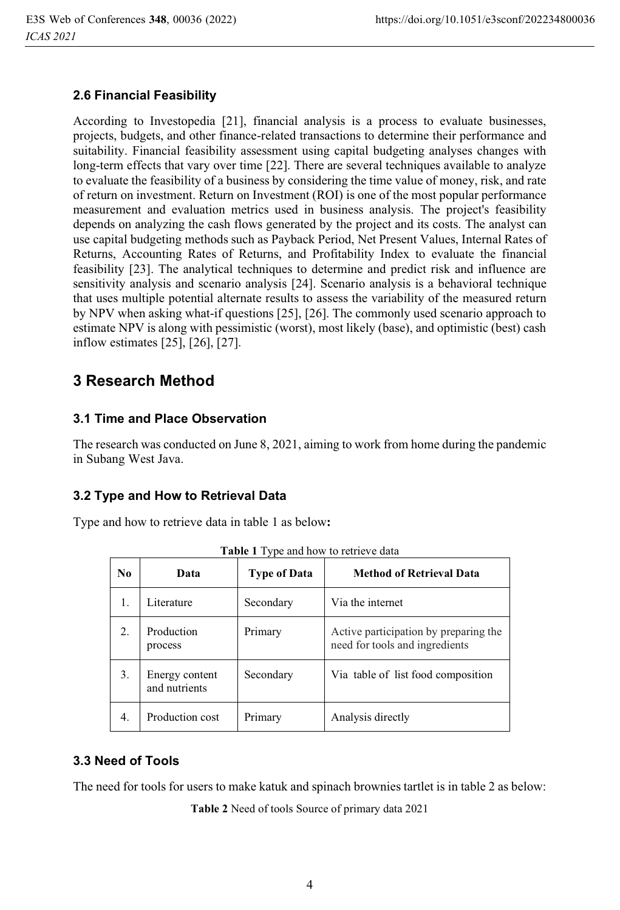#### **2.6 Financial Feasibility**

According to Investopedia [21], financial analysis is a process to evaluate businesses, projects, budgets, and other finance-related transactions to determine their performance and suitability. Financial feasibility assessment using capital budgeting analyses changes with long-term effects that vary over time [22]. There are several techniques available to analyze to evaluate the feasibility of a business by considering the time value of money, risk, and rate of return on investment. Return on Investment (ROI) is one of the most popular performance measurement and evaluation metrics used in business analysis. The project's feasibility depends on analyzing the cash flows generated by the project and its costs. The analyst can use capital budgeting methods such as Payback Period, Net Present Values, Internal Rates of Returns, Accounting Rates of Returns, and Profitability Index to evaluate the financial feasibility [23]. The analytical techniques to determine and predict risk and influence are sensitivity analysis and scenario analysis [24]. Scenario analysis is a behavioral technique that uses multiple potential alternate results to assess the variability of the measured return by NPV when asking what-if questions [25], [26]. The commonly used scenario approach to estimate NPV is along with pessimistic (worst), most likely (base), and optimistic (best) cash inflow estimates [25], [26], [27].

## **3 Research Method**

#### **3.1 Time and Place Observation**

The research was conducted on June 8, 2021, aiming to work from home during the pandemic in Subang West Java.

## **3.2 Type and How to Retrieval Data**

Type and how to retrieve data in table 1 as below**:** 

| N <sub>0</sub> | Data                            | <b>Type of Data</b> | <b>Method of Retrieval Data</b>                                         |
|----------------|---------------------------------|---------------------|-------------------------------------------------------------------------|
| 1.             | Literature                      | Secondary           | Via the internet                                                        |
| 2.             | Production<br>process           | Primary             | Active participation by preparing the<br>need for tools and ingredients |
| 3.             | Energy content<br>and nutrients | Secondary           | Via table of list food composition                                      |
| 4.             | Production cost                 | Primary             | Analysis directly                                                       |

**Table 1** Type and how to retrieve data

#### **3.3 Need of Tools**

The need for tools for users to make katuk and spinach brownies tartlet is in table 2 as below:

**Table 2** Need of tools Source of primary data 2021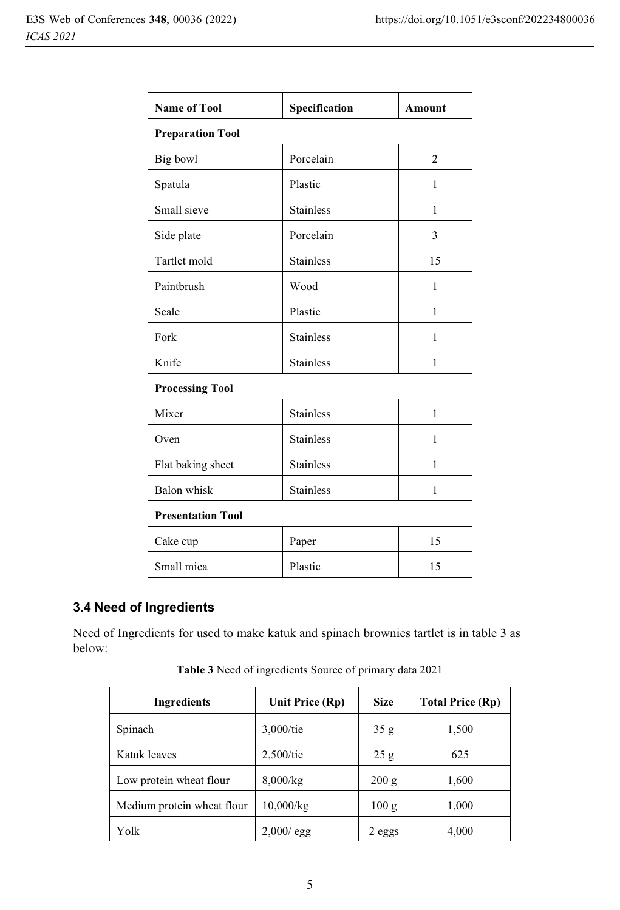| <b>Name of Tool</b>      | Specification    | <b>Amount</b>  |  |  |
|--------------------------|------------------|----------------|--|--|
| <b>Preparation Tool</b>  |                  |                |  |  |
| Big bowl                 | Porcelain        | $\overline{2}$ |  |  |
| Spatula                  | Plastic          | 1              |  |  |
| Small sieve              | <b>Stainless</b> | 1              |  |  |
| Side plate               | Porcelain        | 3              |  |  |
| Tartlet mold             | <b>Stainless</b> | 15             |  |  |
| Paintbrush               | Wood             | 1              |  |  |
| Scale                    | Plastic          | 1              |  |  |
| Fork                     | <b>Stainless</b> | 1              |  |  |
| Knife                    | <b>Stainless</b> | 1              |  |  |
| <b>Processing Tool</b>   |                  |                |  |  |
| Mixer                    | <b>Stainless</b> | 1              |  |  |
| Oven                     | <b>Stainless</b> | 1              |  |  |
| Flat baking sheet        | <b>Stainless</b> | 1              |  |  |
| Balon whisk              | <b>Stainless</b> | 1              |  |  |
| <b>Presentation Tool</b> |                  |                |  |  |
| Cake cup                 | Paper            | 15             |  |  |
| Small mica               | Plastic          | 15             |  |  |

## **3.4 Need of Ingredients**

Need of Ingredients for used to make katuk and spinach brownies tartlet is in table 3 as below:

| Ingredients                | Unit Price (Rp) | <b>Size</b> | <b>Total Price (Rp)</b> |
|----------------------------|-----------------|-------------|-------------------------|
| Spinach                    | $3,000$ /tie    | 35g         | 1,500                   |
| Katuk leaves               | $2,500$ /tie    | 25 g        | 625                     |
| Low protein wheat flour    | $8,000$ /kg     | 200 g       | 1,600                   |
| Medium protein wheat flour | $10,000$ /kg    | 100 g       | 1,000                   |
| Yolk                       | $2,000$ / egg   | 2 eggs      | 4,000                   |

**Table 3** Need of ingredients Source of primary data 2021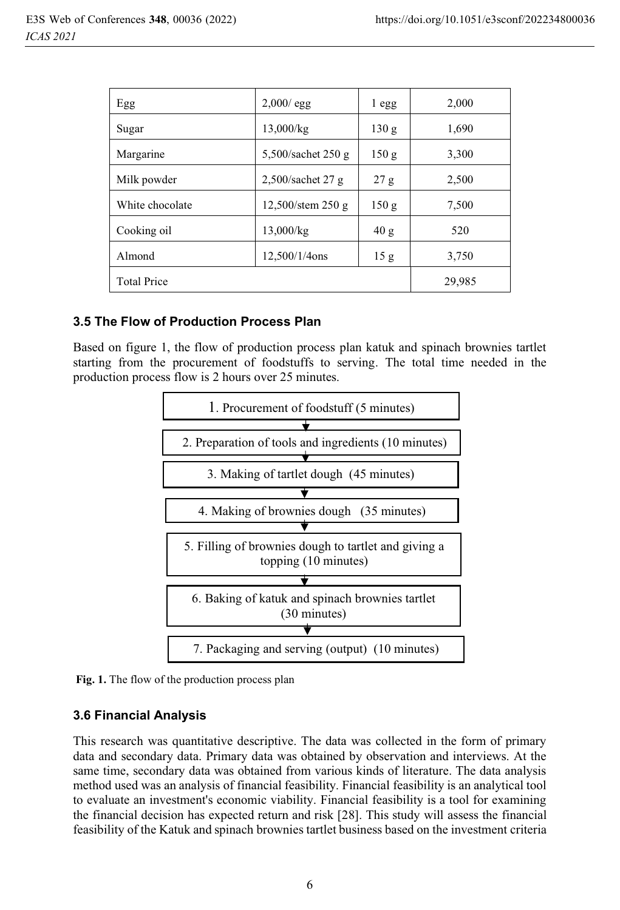| Egg                | $2,000/\text{egg}$                 | 1 egg | 2,000  |
|--------------------|------------------------------------|-------|--------|
| Sugar              | 13,000/kg                          | 130 g | 1,690  |
| Margarine          | 5,500/sachet 250 g                 | 150 g | 3,300  |
| Milk powder        | $2,500$ /sachet 27 g               | 27 g  | 2,500  |
| White chocolate    | $12,500/\text{stem }250 \text{ g}$ | 150 g | 7,500  |
| Cooking oil        | 13,000/kg                          | 40 g  | 520    |
| Almond             | 12,500/1/4ons                      | 15g   | 3,750  |
| <b>Total Price</b> |                                    |       | 29,985 |

#### **3.5 The Flow of Production Process Plan**

Based on figure 1, the flow of production process plan katuk and spinach brownies tartlet starting from the procurement of foodstuffs to serving. The total time needed in the production process flow is 2 hours over 25 minutes.



 **Fig. 1.** The flow of the production process plan

#### **3.6 Financial Analysis**

This research was quantitative descriptive. The data was collected in the form of primary data and secondary data. Primary data was obtained by observation and interviews. At the same time, secondary data was obtained from various kinds of literature. The data analysis method used was an analysis of financial feasibility. Financial feasibility is an analytical tool to evaluate an investment's economic viability. Financial feasibility is a tool for examining the financial decision has expected return and risk [28]. This study will assess the financial feasibility of the Katuk and spinach brownies tartlet business based on the investment criteria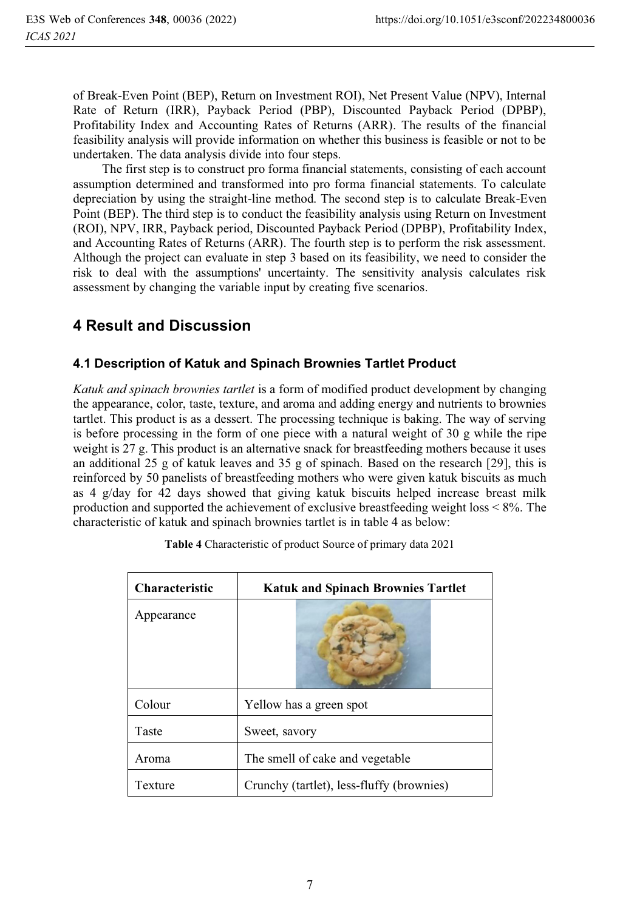of Break-Even Point (BEP), Return on Investment ROI), Net Present Value (NPV), Internal Rate of Return (IRR), Payback Period (PBP), Discounted Payback Period (DPBP), Profitability Index and Accounting Rates of Returns (ARR). The results of the financial feasibility analysis will provide information on whether this business is feasible or not to be undertaken. The data analysis divide into four steps.

The first step is to construct pro forma financial statements, consisting of each account assumption determined and transformed into pro forma financial statements. To calculate depreciation by using the straight-line method. The second step is to calculate Break-Even Point (BEP). The third step is to conduct the feasibility analysis using Return on Investment (ROI), NPV, IRR, Payback period, Discounted Payback Period (DPBP), Profitability Index, and Accounting Rates of Returns (ARR). The fourth step is to perform the risk assessment. Although the project can evaluate in step 3 based on its feasibility, we need to consider the risk to deal with the assumptions' uncertainty. The sensitivity analysis calculates risk assessment by changing the variable input by creating five scenarios.

## **4 Result and Discussion**

## **4.1 Description of Katuk and Spinach Brownies Tartlet Product**

*Katuk and spinach brownies tartlet* is a form of modified product development by changing the appearance, color, taste, texture, and aroma and adding energy and nutrients to brownies tartlet. This product is as a dessert. The processing technique is baking. The way of serving is before processing in the form of one piece with a natural weight of 30 g while the ripe weight is 27 g. This product is an alternative snack for breastfeeding mothers because it uses an additional 25 g of katuk leaves and 35 g of spinach. Based on the research [29], this is reinforced by 50 panelists of breastfeeding mothers who were given katuk biscuits as much as 4 g/day for 42 days showed that giving katuk biscuits helped increase breast milk production and supported the achievement of exclusive breastfeeding weight loss < 8%. The characteristic of katuk and spinach brownies tartlet is in table 4 as below:

| <b>Characteristic</b> | <b>Katuk and Spinach Brownies Tartlet</b> |
|-----------------------|-------------------------------------------|
| Appearance            |                                           |
| Colour                | Yellow has a green spot                   |
| Taste                 | Sweet, savory                             |
| Aroma                 | The smell of cake and vegetable           |
| Texture               | Crunchy (tartlet), less-fluffy (brownies) |

**Table 4** Characteristic of product Source of primary data 2021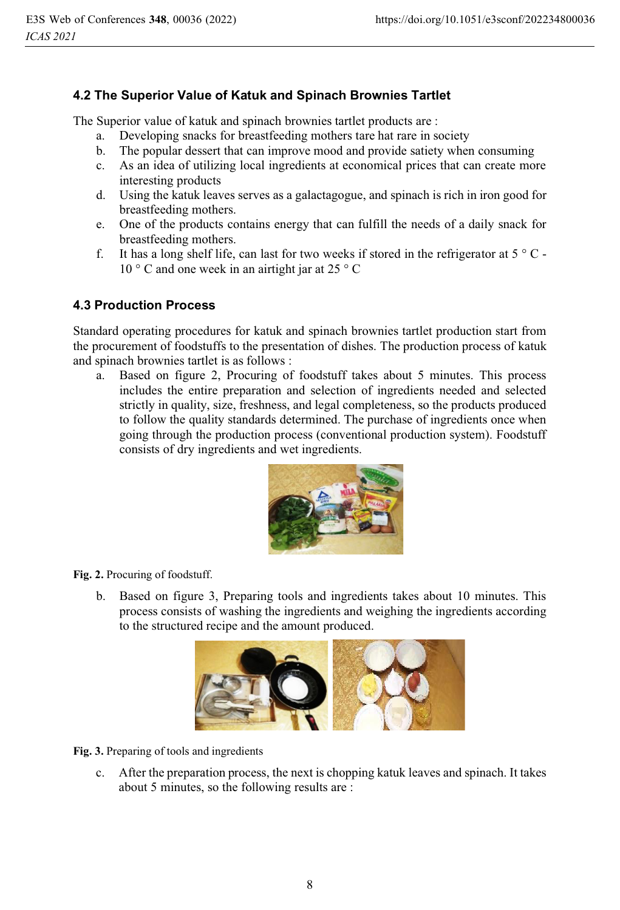### **4.2 The Superior Value of Katuk and Spinach Brownies Tartlet**

The Superior value of katuk and spinach brownies tartlet products are :

- a. Developing snacks for breastfeeding mothers tare hat rare in society
- b. The popular dessert that can improve mood and provide satiety when consuming
- c. As an idea of utilizing local ingredients at economical prices that can create more interesting products
- d. Using the katuk leaves serves as a galactagogue, and spinach is rich in iron good for breastfeeding mothers.
- e. One of the products contains energy that can fulfill the needs of a daily snack for breastfeeding mothers.
- f. It has a long shelf life, can last for two weeks if stored in the refrigerator at  $5^{\circ}$  C -10 ° C and one week in an airtight jar at 25 ° C

#### **4.3 Production Process**

Standard operating procedures for katuk and spinach brownies tartlet production start from the procurement of foodstuffs to the presentation of dishes. The production process of katuk and spinach brownies tartlet is as follows :

a. Based on figure 2, Procuring of foodstuff takes about 5 minutes. This process includes the entire preparation and selection of ingredients needed and selected strictly in quality, size, freshness, and legal completeness, so the products produced to follow the quality standards determined. The purchase of ingredients once when going through the production process (conventional production system). Foodstuff consists of dry ingredients and wet ingredients.



**Fig. 2.** Procuring of foodstuff.

b. Based on figure 3, Preparing tools and ingredients takes about 10 minutes. This process consists of washing the ingredients and weighing the ingredients according to the structured recipe and the amount produced.



**Fig. 3.** Preparing of tools and ingredients

c. After the preparation process, the next is chopping katuk leaves and spinach. It takes about 5 minutes, so the following results are :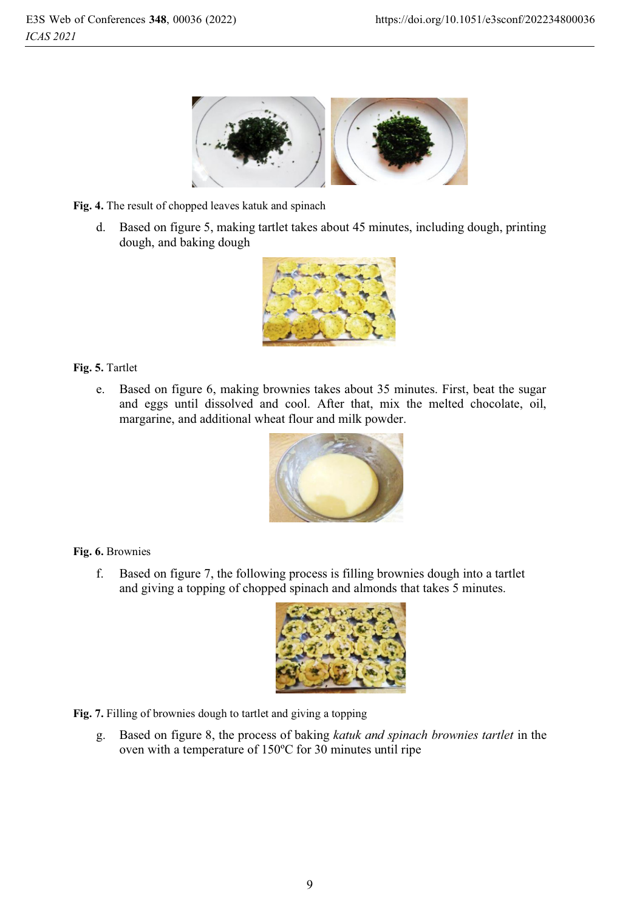

**Fig. 4.** The result of chopped leaves katuk and spinach

d. Based on figure 5, making tartlet takes about 45 minutes, including dough, printing dough, and baking dough



#### **Fig. 5.** Tartlet

e. Based on figure 6, making brownies takes about 35 minutes. First, beat the sugar and eggs until dissolved and cool. After that, mix the melted chocolate, oil, margarine, and additional wheat flour and milk powder.



#### **Fig. 6.** Brownies

f. Based on figure 7, the following process is filling brownies dough into a tartlet and giving a topping of chopped spinach and almonds that takes 5 minutes.



- **Fig. 7.** Filling of brownies dough to tartlet and giving a topping
	- g. Based on figure 8, the process of baking *katuk and spinach brownies tartlet* in the oven with a temperature of 150ºC for 30 minutes until ripe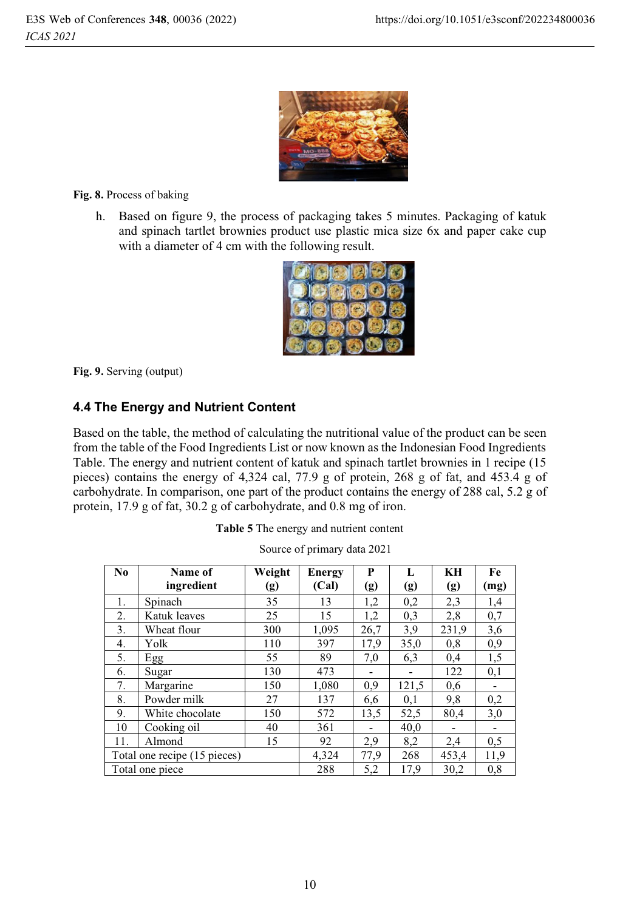

**Fig. 8.** Process of baking

h. Based on figure 9, the process of packaging takes 5 minutes. Packaging of katuk and spinach tartlet brownies product use plastic mica size 6x and paper cake cup with a diameter of 4 cm with the following result.



**Fig. 9.** Serving (output)

## **4.4 The Energy and Nutrient Content**

Based on the table, the method of calculating the nutritional value of the product can be seen from the table of the Food Ingredients List or now known as the Indonesian Food Ingredients Table. The energy and nutrient content of katuk and spinach tartlet brownies in 1 recipe (15 pieces) contains the energy of 4,324 cal, 77.9 g of protein, 268 g of fat, and 453.4 g of carbohydrate. In comparison, one part of the product contains the energy of 288 cal, 5.2 g of protein, 17.9 g of fat, 30.2 g of carbohydrate, and 0.8 mg of iron.

|  | Table 5 The energy and nutrient content |
|--|-----------------------------------------|
|--|-----------------------------------------|

| N <sub>0</sub> | Name of                      | Weight | <b>Energy</b> | P    | L     | KH    | Fe   |
|----------------|------------------------------|--------|---------------|------|-------|-------|------|
|                | ingredient                   | (g)    | (Cal)         | (g)  | (g)   | (g)   | (mg) |
| 1.             | Spinach                      | 35     | 13            | 1,2  | 0,2   | 2,3   | 1,4  |
| 2.             | Katuk leaves                 | 25     | 15            | 1,2  | 0,3   | 2,8   | 0,7  |
| 3.             | Wheat flour                  | 300    | 1,095         | 26,7 | 3.9   | 231,9 | 3,6  |
| 4.             | Yolk                         | 110    | 397           | 17,9 | 35,0  | 0,8   | 0,9  |
| 5.             | Egg                          | 55     | 89            | 7,0  | 6,3   | 0,4   | 1,5  |
| 6.             | Sugar                        | 130    | 473           |      |       | 122   | 0,1  |
| 7.             | Margarine                    | 150    | 1,080         | 0,9  | 121,5 | 0,6   |      |
| 8.             | Powder milk                  | 27     | 137           | 6,6  | 0,1   | 9,8   | 0,2  |
| 9.             | White chocolate              | 150    | 572           | 13,5 | 52,5  | 80,4  | 3,0  |
| 10             | Cooking oil                  | 40     | 361           |      | 40.0  |       |      |
| 11.            | Almond                       | 15     | 92            | 2,9  | 8,2   | 2,4   | 0,5  |
|                | Total one recipe (15 pieces) |        | 4,324         | 77,9 | 268   | 453,4 | 11,9 |
|                | Total one piece              |        | 288           | 5,2  | 17,9  | 30,2  | 0,8  |

| Source of primary data 2021 |
|-----------------------------|
|-----------------------------|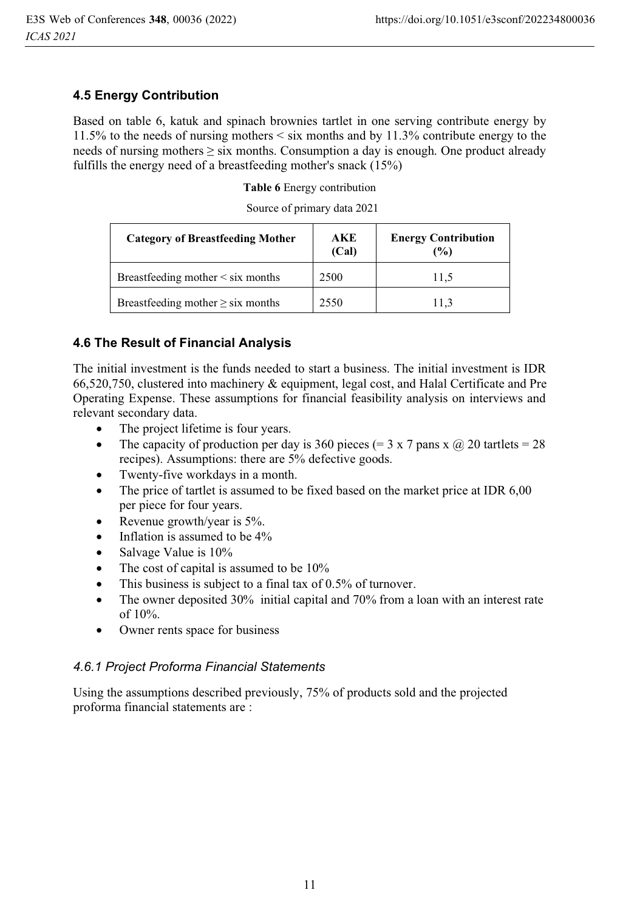#### **4.5 Energy Contribution**

Based on table 6, katuk and spinach brownies tartlet in one serving contribute energy by 11.5% to the needs of nursing mothers < six months and by 11.3% contribute energy to the needs of nursing mothers  $\geq$  six months. Consumption a day is enough. One product already fulfills the energy need of a breastfeeding mother's snack (15%)

**Table 6** Energy contribution

| Source of primary data 2021 |  |  |
|-----------------------------|--|--|
|-----------------------------|--|--|

| <b>Category of Breastfeeding Mother</b> | AKE<br>(Cal) | <b>Energy Contribution</b><br>(%) |
|-----------------------------------------|--------------|-----------------------------------|
| Breastfeeding mother $\leq$ six months  | 2500         | 11.5                              |
| Breastfeeding mother $\geq$ six months  | 2550         | 11.3                              |

### **4.6 The Result of Financial Analysis**

The initial investment is the funds needed to start a business. The initial investment is IDR 66,520,750, clustered into machinery & equipment, legal cost, and Halal Certificate and Pre Operating Expense. These assumptions for financial feasibility analysis on interviews and relevant secondary data.

- $\bullet$ The project lifetime is four years.
- $\bullet$ The capacity of production per day is 360 pieces (= 3 x 7 pans x  $\omega$ ) 20 tartlets = 28 recipes). Assumptions: there are 5% defective goods.
- -Twenty-five workdays in a month.
- - The price of tartlet is assumed to be fixed based on the market price at IDR 6,00 per piece for four years.
- -Revenue growth/year is 5%.
- -Inflation is assumed to be 4%
- $\bullet$ Salvage Value is 10%
- -The cost of capital is assumed to be 10%
- $\bullet$ This business is subject to a final tax of 0.5% of turnover.
- - The owner deposited 30% initial capital and 70% from a loan with an interest rate of 10%.
- $\bullet$ Owner rents space for business

#### *4.6.1 Project Proforma Financial Statements*

Using the assumptions described previously, 75% of products sold and the projected proforma financial statements are :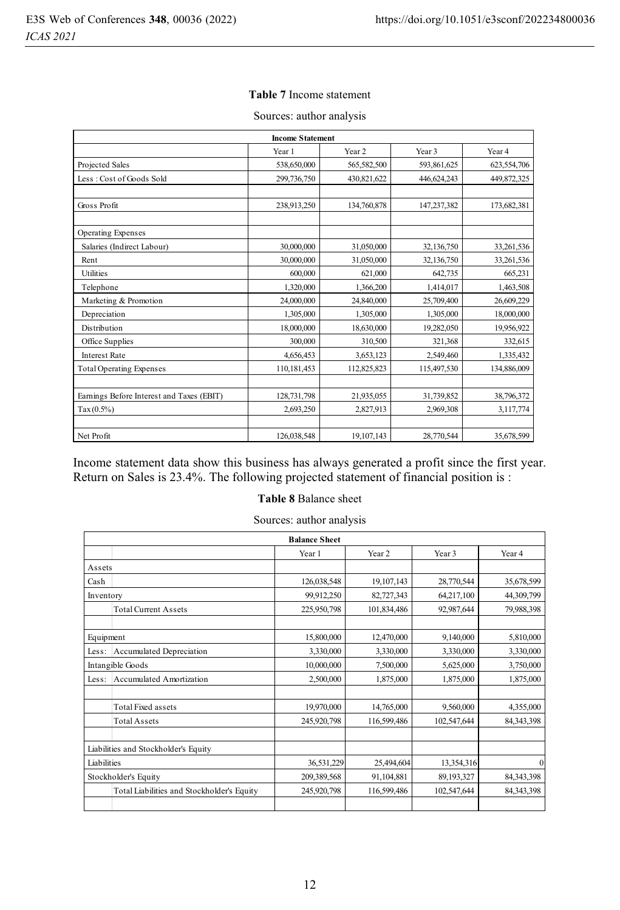#### **Table 7** Income statement

| <b>Income Statement</b>                   |             |                   |             |                   |  |  |
|-------------------------------------------|-------------|-------------------|-------------|-------------------|--|--|
|                                           | Year 1      | Year <sub>2</sub> | Year 3      | Year <sub>4</sub> |  |  |
| Projected Sales                           | 538,650,000 | 565,582,500       | 593,861,625 | 623,554,706       |  |  |
| Less: Cost of Goods Sold                  | 299,736,750 | 430,821,622       | 446,624,243 | 449,872,325       |  |  |
| Gross Profit                              | 238,913,250 | 134,760,878       | 147,237,382 | 173,682,381       |  |  |
| Operating Expenses                        |             |                   |             |                   |  |  |
| Salaries (Indirect Labour)                | 30,000,000  | 31,050,000        | 32,136,750  | 33,261,536        |  |  |
| Rent                                      | 30,000,000  | 31,050,000        | 32,136,750  | 33,261,536        |  |  |
| Utilities                                 | 600,000     | 621,000           | 642,735     | 665,231           |  |  |
| Telephone                                 | 1,320,000   | 1,366,200         | 1,414,017   | 1,463,508         |  |  |
| Marketing & Promotion                     | 24,000,000  | 24,840,000        | 25,709,400  | 26,609,229        |  |  |
| Depreciation                              | 1,305,000   | 1,305,000         | 1,305,000   | 18,000,000        |  |  |
| Distribution                              | 18,000,000  | 18,630,000        | 19,282,050  | 19,956,922        |  |  |
| Office Supplies                           | 300,000     | 310,500           | 321,368     | 332,615           |  |  |
| <b>Interest Rate</b>                      | 4,656,453   | 3,653,123         | 2,549,460   | 1,335,432         |  |  |
| <b>Total Operating Expenses</b>           | 110,181,453 | 112,825,823       | 115,497,530 | 134,886,009       |  |  |
|                                           |             |                   |             |                   |  |  |
| Earnings Before Interest and Taxes (EBIT) | 128,731,798 | 21,935,055        | 31,739,852  | 38,796,372        |  |  |
| Tax(0.5%)                                 | 2,693,250   | 2,827,913         | 2,969,308   | 3,117,774         |  |  |
|                                           |             |                   |             |                   |  |  |
| Net Profit                                | 126,038,548 | 19,107,143        | 28,770,544  | 35,678,599        |  |  |

#### Sources: author analysis

Income statement data show this business has always generated a profit since the first year. Return on Sales is 23.4%. The following projected statement of financial position is :

#### **Table 8** Balance sheet

Sources: author analysis

|             |                                            | <b>Balance Sheet</b> |                   |              |                |
|-------------|--------------------------------------------|----------------------|-------------------|--------------|----------------|
|             |                                            | Year 1               | Year <sub>2</sub> | Year 3       | Year 4         |
| Assets      |                                            |                      |                   |              |                |
| Cash        |                                            | 126,038,548          | 19,107,143        | 28,770,544   | 35,678,599     |
| Inventory   |                                            | 99,912,250           | 82,727,343        | 64,217,100   | 44,309,799     |
|             | <b>Total Current Assets</b>                | 225,950,798          | 101,834,486       | 92,987,644   | 79,988,398     |
|             |                                            |                      |                   |              |                |
| Equipment   |                                            | 15,800,000           | 12,470,000        | 9,140,000    | 5,810,000      |
| Less:       | Accumulated Depreciation                   | 3,330,000            | 3,330,000         | 3,330,000    | 3,330,000      |
|             | Intangible Goods                           | 10,000,000           | 7,500,000         | 5,625,000    | 3,750,000      |
| Less:       | <b>Accumulated Amortization</b>            | 2,500,000            | 1,875,000         | 1,875,000    | 1,875,000      |
|             |                                            |                      |                   |              |                |
|             | <b>Total Fixed assets</b>                  | 19,970,000           | 14,765,000        | 9,560,000    | 4,355,000      |
|             | <b>Total Assets</b>                        | 245,920,798          | 116,599,486       | 102,547,644  | 84, 343, 398   |
|             |                                            |                      |                   |              |                |
|             | Liabilities and Stockholder's Equity       |                      |                   |              |                |
| Liabilities |                                            | 36,531,229           | 25,494,604        | 13,354,316   | $\overline{0}$ |
|             | Stockholder's Equity                       | 209,389,568          | 91,104,881        | 89, 193, 327 | 84, 343, 398   |
|             | Total Liabilities and Stockholder's Equity | 245,920,798          | 116,599,486       | 102,547,644  | 84, 343, 398   |
|             |                                            |                      |                   |              |                |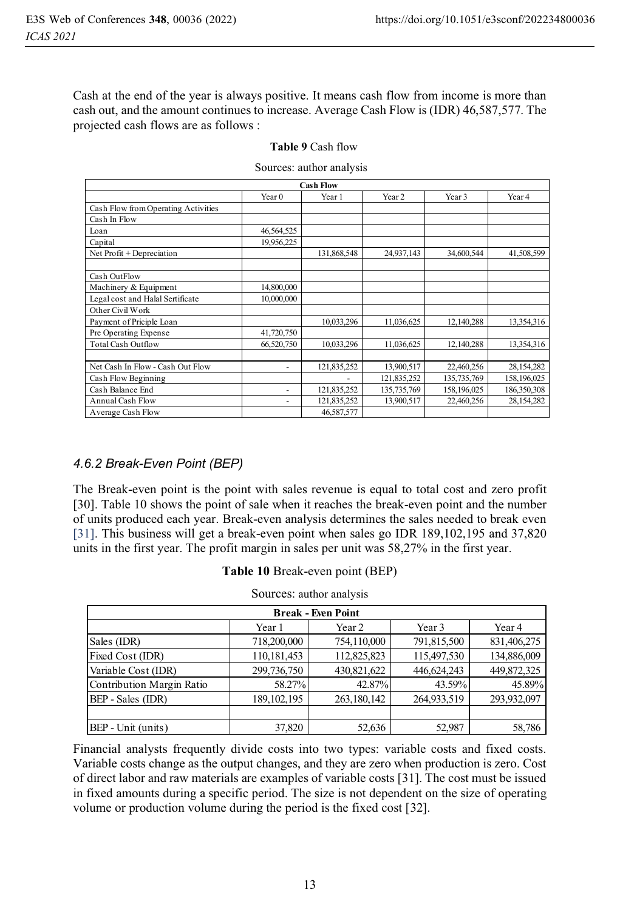Cash at the end of the year is always positive. It means cash flow from income is more than cash out, and the amount continues to increase. Average Cash Flow is (IDR) 46,587,577. The projected cash flows are as follows :

| <b>Cash Flow</b>                    |                   |             |             |                   |                   |  |  |
|-------------------------------------|-------------------|-------------|-------------|-------------------|-------------------|--|--|
|                                     | Year <sub>0</sub> | Year 1      | Year 2      | Year <sub>3</sub> | Year <sub>4</sub> |  |  |
| Cash Flow from Operating Activities |                   |             |             |                   |                   |  |  |
| Cash In Flow                        |                   |             |             |                   |                   |  |  |
| Loan                                | 46,564,525        |             |             |                   |                   |  |  |
| Capital                             | 19,956,225        |             |             |                   |                   |  |  |
| Net Profit + Depreciation           |                   | 131,868,548 | 24,937,143  | 34,600,544        | 41,508,599        |  |  |
|                                     |                   |             |             |                   |                   |  |  |
| Cash OutFlow                        |                   |             |             |                   |                   |  |  |
| Machinery & Equipment               | 14,800,000        |             |             |                   |                   |  |  |
| Legal cost and Halal Sertificate    | 10,000,000        |             |             |                   |                   |  |  |
| Other Civil Work                    |                   |             |             |                   |                   |  |  |
| Payment of Priciple Loan            |                   | 10,033,296  | 11,036,625  | 12,140,288        | 13,354,316        |  |  |
| Pre Operating Expense               | 41,720,750        |             |             |                   |                   |  |  |
| <b>Total Cash Outflow</b>           | 66,520,750        | 10,033,296  | 11,036,625  | 12,140,288        | 13,354,316        |  |  |
|                                     |                   |             |             |                   |                   |  |  |
| Net Cash In Flow - Cash Out Flow    | ٠                 | 121,835,252 | 13,900,517  | 22,460,256        | 28,154,282        |  |  |
| Cash Flow Beginning                 |                   |             | 121,835,252 | 135,735,769       | 158,196,025       |  |  |
| Cash Balance End                    |                   | 121,835,252 | 135,735,769 | 158,196,025       | 186,350,308       |  |  |
| Annual Cash Flow                    |                   | 121,835,252 | 13,900,517  | 22,460,256        | 28,154,282        |  |  |
| Average Cash Flow                   |                   | 46,587,577  |             |                   |                   |  |  |

Sources: author analysis

## *4.6.2 Break-Even Point (BEP)*

The Break-even point is the point with sales revenue is equal to total cost and zero profit [30]. Table 10 shows the point of sale when it reaches the break-even point and the number of units produced each year. Break-even analysis determines the sales needed to break even [31]. This business will get a break-even point when sales go IDR 189,102,195 and 37,820 units in the first year. The profit margin in sales per unit was 58,27% in the first year.

| OUULUUS, auulul allalysis |               |             |             |             |  |  |
|---------------------------|---------------|-------------|-------------|-------------|--|--|
| <b>Break - Even Point</b> |               |             |             |             |  |  |
|                           | Year 1        | Year 2      | Year 3      | Year 4      |  |  |
| Sales (IDR)               | 718,200,000   | 754,110,000 | 791,815,500 | 831,406,275 |  |  |
| Fixed Cost (IDR)          | 110,181,453   | 112,825,823 | 115,497,530 | 134,886,009 |  |  |
| Variable Cost (IDR)       | 299,736,750   | 430,821,622 | 446,624,243 | 449,872,325 |  |  |
| Contribution Margin Ratio | 58.27%        | 42.87%      | 43.59%      | 45.89%      |  |  |
| BEP - Sales (IDR)         | 189, 102, 195 | 263,180,142 | 264,933,519 | 293,932,097 |  |  |
|                           |               |             |             |             |  |  |
| BEP - Unit (units)        | 37,820        | 52,636      | 52,987      | 58,786      |  |  |

| Table 10 Break-even point (BEP)                  |  |
|--------------------------------------------------|--|
| $\mathcal{C}_{\Omega^{11}2000}$ outless analyzes |  |

Financial analysts frequently divide costs into two types: variable costs and fixed costs. Variable costs change as the output changes, and they are zero when production is zero. Cost of direct labor and raw materials are examples of variable costs [31]. The cost must be issued in fixed amounts during a specific period. The size is not dependent on the size of operating volume or production volume during the period is the fixed cost [32].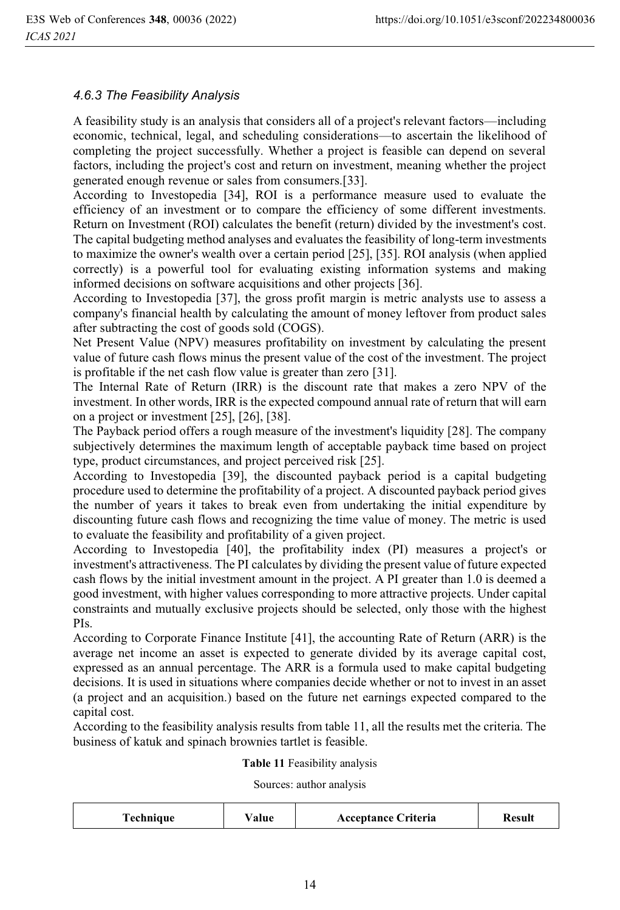#### *4.6.3 The Feasibility Analysis*

A feasibility study is an analysis that considers all of a project's relevant factors—including economic, technical, legal, and scheduling considerations—to ascertain the likelihood of completing the project successfully. Whether a project is feasible can depend on several factors, including the project's cost and return on investment, meaning whether the project generated enough revenue or sales from consumers.[33].

According to Investopedia [34], ROI is a performance measure used to evaluate the efficiency of an investment or to compare the efficiency of some different investments. Return on Investment (ROI) calculates the benefit (return) divided by the investment's cost. The capital budgeting method analyses and evaluates the feasibility of long-term investments to maximize the owner's wealth over a certain period [25], [35]. ROI analysis (when applied correctly) is a powerful tool for evaluating existing information systems and making informed decisions on software acquisitions and other projects [36].

According to Investopedia [37], the gross profit margin is metric analysts use to assess a company's financial health by calculating the amount of money leftover from product sales after subtracting the cost of goods sold (COGS).

Net Present Value (NPV) measures profitability on investment by calculating the present value of future cash flows minus the present value of the cost of the investment. The project is profitable if the net cash flow value is greater than zero [31].

The Internal Rate of Return (IRR) is the discount rate that makes a zero NPV of the investment. In other words, IRR is the expected compound annual rate of return that will earn on a project or investment [25], [26], [38].

The Payback period offers a rough measure of the investment's liquidity [28]. The company subjectively determines the maximum length of acceptable payback time based on project type, product circumstances, and project perceived risk [25].

According to Investopedia [39], the discounted payback period is a capital budgeting procedure used to determine the profitability of a project. A discounted payback period gives the number of years it takes to break even from undertaking the initial expenditure by discounting future cash flows and recognizing the time value of money. The metric is used to evaluate the feasibility and profitability of a given project.

According to Investopedia [40], the profitability index (PI) measures a project's or investment's attractiveness. The PI calculates by dividing the present value of future expected cash flows by the initial investment amount in the project. A PI greater than 1.0 is deemed a good investment, with higher values corresponding to more attractive projects. Under capital constraints and mutually exclusive projects should be selected, only those with the highest PIs.

According to Corporate Finance Institute [41], the accounting Rate of Return (ARR) is the average net income an asset is expected to generate divided by its average capital cost, expressed as an annual percentage. The ARR is a formula used to make capital budgeting decisions. It is used in situations where companies decide whether or not to invest in an asset (a project and an acquisition.) based on the future net earnings expected compared to the capital cost.

According to the feasibility analysis results from table 11, all the results met the criteria. The business of katuk and spinach brownies tartlet is feasible.

#### **Table 11** Feasibility analysis

Sources: author analysis

| rechnique | alue | <b>Acceptance Criteria</b> | Result |
|-----------|------|----------------------------|--------|
|-----------|------|----------------------------|--------|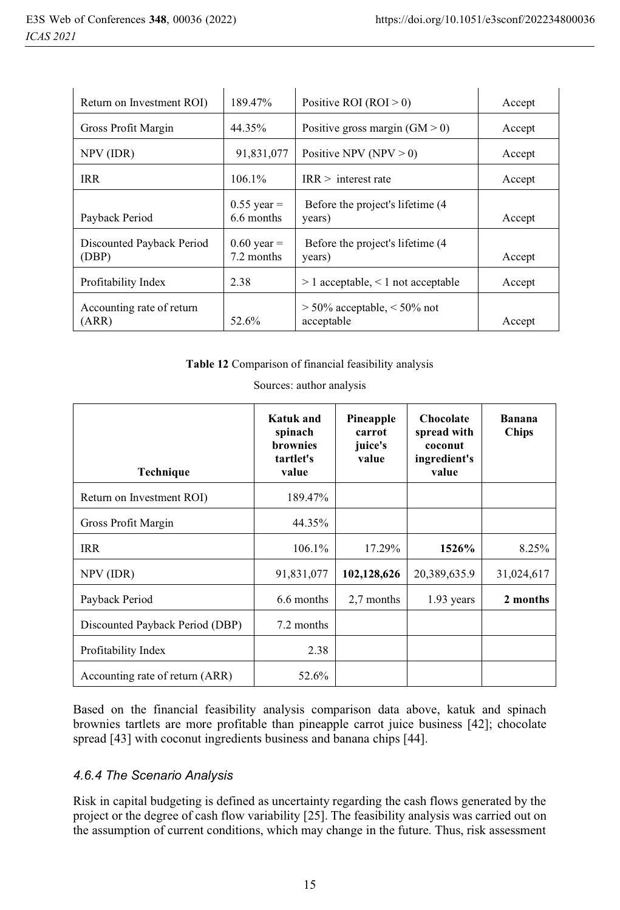| Return on Investment ROI)          | 189.47%                     | Positive ROI $(ROI > 0)$                        | Accept |
|------------------------------------|-----------------------------|-------------------------------------------------|--------|
| Gross Profit Margin                | 44.35%                      | Positive gross margin $(GM > 0)$                | Accept |
| NPV (IDR)                          | 91,831,077                  | Positive NPV (NPV $> 0$ )                       | Accept |
| <b>IRR</b>                         | $106.1\%$                   | IRR > interest rate                             | Accept |
| Payback Period                     | $0.55$ year =<br>6.6 months | Before the project's lifetime (4)<br>years)     | Accept |
| Discounted Payback Period<br>(DBP) | $0.60$ year =<br>7.2 months | Before the project's lifetime (4)<br>years)     | Accept |
| Profitability Index                | 2.38                        | $> 1$ acceptable, $< 1$ not acceptable          | Accept |
| Accounting rate of return<br>(ARR) | 52.6%                       | $> 50\%$ acceptable, $< 50\%$ not<br>acceptable | Accept |

**Table 12** Comparison of financial feasibility analysis

| Technique                       | <b>Katuk</b> and<br>spinach<br><b>brownies</b><br>tartlet's<br>value | Pineapple<br>carrot<br>juice's<br>value | Chocolate<br>spread with<br>coconut<br>ingredient's<br>value | <b>Banana</b><br><b>Chips</b> |
|---------------------------------|----------------------------------------------------------------------|-----------------------------------------|--------------------------------------------------------------|-------------------------------|
| Return on Investment ROI)       | 189.47%                                                              |                                         |                                                              |                               |
| Gross Profit Margin             | 44.35%                                                               |                                         |                                                              |                               |
| <b>IRR</b>                      | $106.1\%$                                                            | 17.29%                                  | 1526%                                                        | 8.25%                         |
| NPV (IDR)                       | 91,831,077                                                           | 102,128,626                             | 20,389,635.9                                                 | 31,024,617                    |
| Payback Period                  | 6.6 months                                                           | 2.7 months                              | $1.93$ years                                                 | 2 months                      |
| Discounted Payback Period (DBP) | 7.2 months                                                           |                                         |                                                              |                               |
| Profitability Index             | 2.38                                                                 |                                         |                                                              |                               |
| Accounting rate of return (ARR) | 52.6%                                                                |                                         |                                                              |                               |

Sources: author analysis

Based on the financial feasibility analysis comparison data above, katuk and spinach brownies tartlets are more profitable than pineapple carrot juice business [42]; chocolate spread [43] with coconut ingredients business and banana chips [44].

#### *4.6.4 The Scenario Analysis*

Risk in capital budgeting is defined as uncertainty regarding the cash flows generated by the project or the degree of cash flow variability [25]. The feasibility analysis was carried out on the assumption of current conditions, which may change in the future. Thus, risk assessment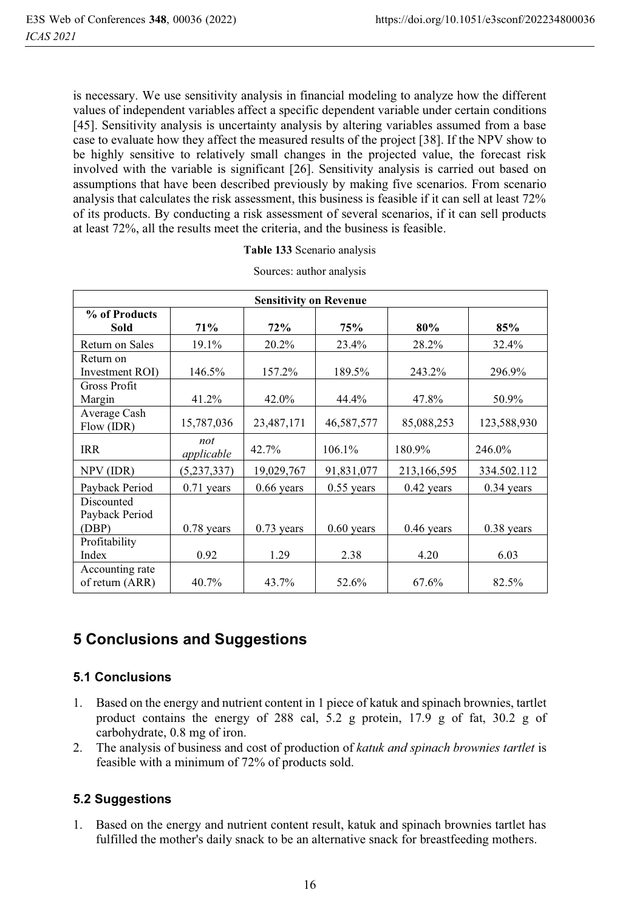is necessary. We use sensitivity analysis in financial modeling to analyze how the different values of independent variables affect a specific dependent variable under certain conditions [45]. Sensitivity analysis is uncertainty analysis by altering variables assumed from a base case to evaluate how they affect the measured results of the project [38]. If the NPV show to be highly sensitive to relatively small changes in the projected value, the forecast risk involved with the variable is significant [26]. Sensitivity analysis is carried out based on assumptions that have been described previously by making five scenarios. From scenario analysis that calculates the risk assessment, this business is feasible if it can sell at least 72% of its products. By conducting a risk assessment of several scenarios, if it can sell products at least 72%, all the results meet the criteria, and the business is feasible.

|  |  |  | Table 133 Scenario analysis |  |
|--|--|--|-----------------------------|--|
|--|--|--|-----------------------------|--|

| <b>Sensitivity on Revenue</b>         |                   |              |              |              |              |  |
|---------------------------------------|-------------------|--------------|--------------|--------------|--------------|--|
| % of Products<br>Sold                 | 71%               | 72%          | 75%          | 80%          | 85%          |  |
| Return on Sales                       | 19.1%             | $20.2\%$     | 23.4%        | 28.2%        | 32.4%        |  |
| Return on<br>Investment ROI)          | 146.5%            | 157.2%       | 189.5%       | 243.2%       | 296.9%       |  |
| Gross Profit<br>Margin                | 41.2%             | $42.0\%$     | 44.4%        | 47.8%        | 50.9%        |  |
| Average Cash<br>Flow (IDR)            | 15,787,036        | 23,487,171   | 46,587,577   | 85,088,253   | 123,588,930  |  |
| IRR                                   | not<br>applicable | 42.7%        | 106.1%       | 180.9%       | 246.0%       |  |
| NPV (IDR)                             | (5,237,337)       | 19,029,767   | 91,831,077   | 213,166,595  | 334.502.112  |  |
| Payback Period                        | $0.71$ years      | $0.66$ years | $0.55$ years | 0.42 years   | $0.34$ years |  |
| Discounted<br>Payback Period<br>(DBP) | $0.78$ years      | $0.73$ years | $0.60$ years | $0.46$ years | 0.38 years   |  |
| Profitability<br>Index                | 0.92              | 1.29         | 2.38         | 4.20         | 6.03         |  |
| Accounting rate<br>of return (ARR)    | 40.7%             | 43.7%        | 52.6%        | 67.6%        | 82.5%        |  |

Sources: author analysis

## **5 Conclusions and Suggestions**

#### **5.1 Conclusions**

- 1. Based on the energy and nutrient content in 1 piece of katuk and spinach brownies, tartlet product contains the energy of 288 cal, 5.2 g protein, 17.9 g of fat, 30.2 g of carbohydrate, 0.8 mg of iron.
- 2. The analysis of business and cost of production of *katuk and spinach brownies tartlet* is feasible with a minimum of 72% of products sold.

## **5.2 Suggestions**

1. Based on the energy and nutrient content result, katuk and spinach brownies tartlet has fulfilled the mother's daily snack to be an alternative snack for breastfeeding mothers.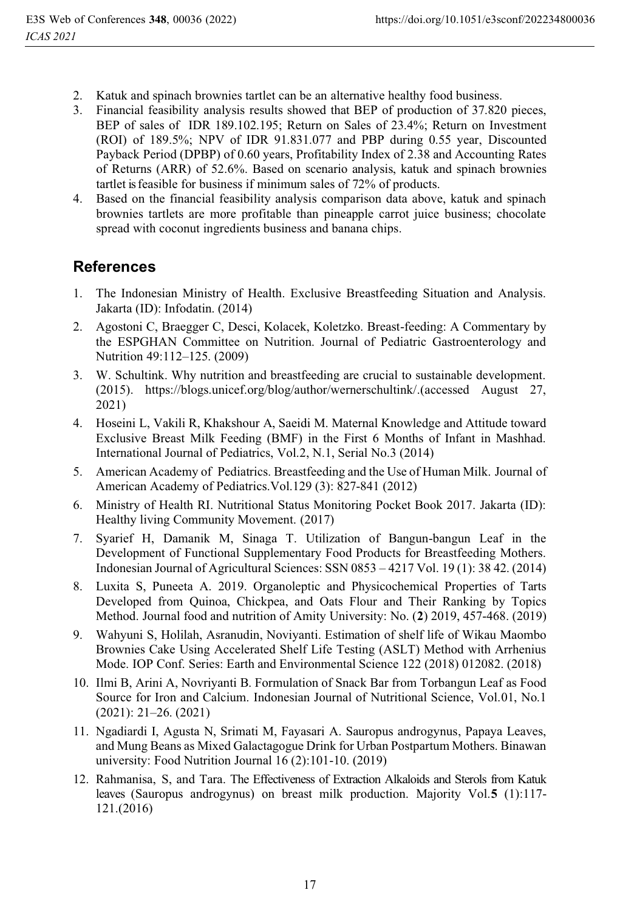- 2. Katuk and spinach brownies tartlet can be an alternative healthy food business.
- 3. Financial feasibility analysis results showed that BEP of production of 37.820 pieces, BEP of sales of IDR 189.102.195; Return on Sales of 23.4%; Return on Investment (ROI) of 189.5%; NPV of IDR 91.831.077 and PBP during 0.55 year, Discounted Payback Period (DPBP) of 0.60 years, Profitability Index of 2.38 and Accounting Rates of Returns (ARR) of 52.6%. Based on scenario analysis, katuk and spinach brownies tartlet is feasible for business if minimum sales of 72% of products.
- 4. Based on the financial feasibility analysis comparison data above, katuk and spinach brownies tartlets are more profitable than pineapple carrot juice business; chocolate spread with coconut ingredients business and banana chips.

## **References**

- 1. The Indonesian Ministry of Health. Exclusive Breastfeeding Situation and Analysis. Jakarta (ID): Infodatin. (2014)
- 2. Agostoni C, Braegger C, Desci, Kolacek, Koletzko. Breast-feeding: A Commentary by the ESPGHAN Committee on Nutrition. Journal of Pediatric Gastroenterology and Nutrition 49:112–125. (2009)
- 3. W. Schultink. Why nutrition and breastfeeding are crucial to sustainable development. (2015). https://blogs.unicef.org/blog/author/wernerschultink/.(accessed August 27, 2021)
- 4. Hoseini L, Vakili R, Khakshour A, Saeidi M. Maternal Knowledge and Attitude toward Exclusive Breast Milk Feeding (BMF) in the First 6 Months of Infant in Mashhad. International Journal of Pediatrics, Vol.2, N.1, Serial No.3 (2014)
- 5. American Academy of Pediatrics. Breastfeeding and the Use of Human Milk. Journal of American Academy of Pediatrics.Vol.129 (3): 827-841 (2012)
- 6. Ministry of Health RI. Nutritional Status Monitoring Pocket Book 2017. Jakarta (ID): Healthy living Community Movement. (2017)
- 7. Syarief H, Damanik M, Sinaga T. Utilization of Bangun-bangun Leaf in the Development of Functional Supplementary Food Products for Breastfeeding Mothers. Indonesian Journal of Agricultural Sciences: SSN 0853 – 4217 Vol. 19 (1): 38 42. (2014)
- 8. Luxita S, Puneeta A. 2019. Organoleptic and Physicochemical Properties of Tarts Developed from Quinoa, Chickpea, and Oats Flour and Their Ranking by Topics Method. Journal food and nutrition of Amity University: No. (**2**) 2019, 457-468. (2019)
- 9. Wahyuni S, Holilah, Asranudin, Noviyanti. Estimation of shelf life of Wikau Maombo Brownies Cake Using Accelerated Shelf Life Testing (ASLT) Method with Arrhenius Mode. IOP Conf. Series: Earth and Environmental Science 122 (2018) 012082. (2018)
- 10. Ilmi B, Arini A, Novriyanti B. Formulation of Snack Bar from Torbangun Leaf as Food Source for Iron and Calcium. Indonesian Journal of Nutritional Science, Vol.01, No.1 (2021): 21–26. (2021)
- 11. Ngadiardi I, Agusta N, Srimati M, Fayasari A. Sauropus androgynus, Papaya Leaves, and Mung Beans as Mixed Galactagogue Drink for Urban Postpartum Mothers. Binawan university: Food Nutrition Journal 16 (2):101-10. (2019)
- 12. Rahmanisa, S, and Tara. The Effectiveness of Extraction Alkaloids and Sterols from Katuk leaves (Sauropus androgynus) on breast milk production. Majority Vol.**5** (1):117- 121.(2016)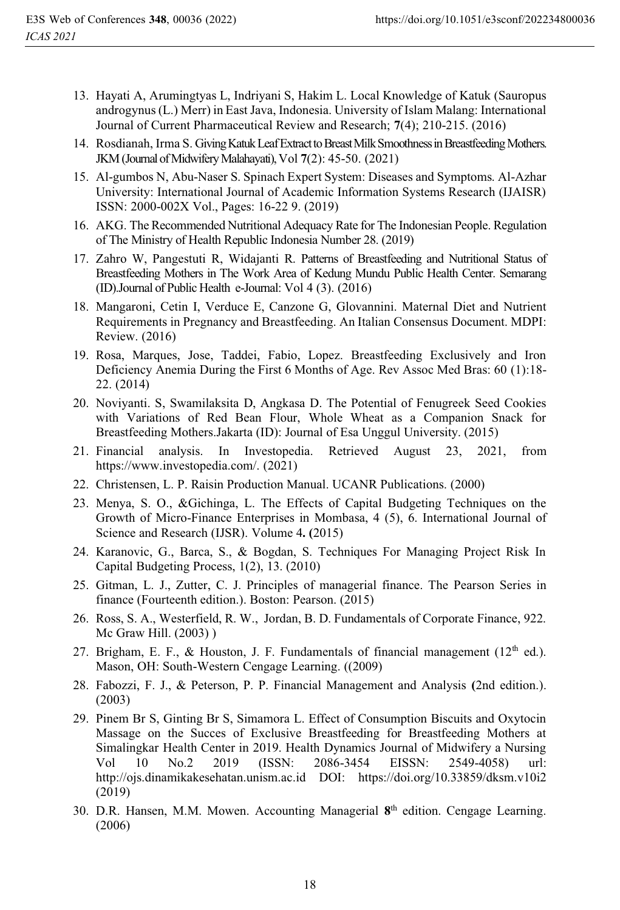- 13. Hayati A, Arumingtyas L, Indriyani S, Hakim L. Local Knowledge of Katuk (Sauropus androgynus (L.) Merr) in East Java, Indonesia. University of Islam Malang: International Journal of Current Pharmaceutical Review and Research; **7**(4); 210-215. (2016)
- 14. Rosdianah, Irma S. Giving Katuk Leaf Extract to Breast Milk Smoothness in Breastfeeding Mothers. JKM (Journal of Midwifery Malahayati), Vol **7**(2): 45-50. (2021)
- 15. Al-gumbos N, Abu-Naser S. Spinach Expert System: Diseases and Symptoms. Al-Azhar University: International Journal of Academic Information Systems Research (IJAISR) ISSN: 2000-002X Vol., Pages: 16-22 9. (2019)
- 16. AKG. The Recommended Nutritional Adequacy Rate for The Indonesian People. Regulation of The Ministry of Health Republic Indonesia Number 28. (2019)
- 17. Zahro W, Pangestuti R, Widajanti R. Patterns of Breastfeeding and Nutritional Status of Breastfeeding Mothers in The Work Area of Kedung Mundu Public Health Center. Semarang (ID).Journal of Public Health e-Journal: Vol 4 (3). (2016)
- 18. Mangaroni, Cetin I, Verduce E, Canzone G, Glovannini. Maternal Diet and Nutrient Requirements in Pregnancy and Breastfeeding. An Italian Consensus Document. MDPI: Review. (2016)
- 19. Rosa, Marques, Jose, Taddei, Fabio, Lopez. Breastfeeding Exclusively and Iron Deficiency Anemia During the First 6 Months of Age. Rev Assoc Med Bras: 60 (1):18- 22. (2014)
- 20. Noviyanti. S, Swamilaksita D, Angkasa D. The Potential of Fenugreek Seed Cookies with Variations of Red Bean Flour, Whole Wheat as a Companion Snack for Breastfeeding Mothers.Jakarta (ID): Journal of Esa Unggul University. (2015)
- 21. Financial analysis. In Investopedia. Retrieved August 23, 2021, from https://www.investopedia.com/. (2021)
- 22. Christensen, L. P. Raisin Production Manual. UCANR Publications. (2000)
- 23. Menya, S. O., &Gichinga, L. The Effects of Capital Budgeting Techniques on the Growth of Micro-Finance Enterprises in Mombasa, 4 (5), 6. International Journal of Science and Research (IJSR). Volume 4**. (**2015)
- 24. Karanovic, G., Barca, S., & Bogdan, S. Techniques For Managing Project Risk In Capital Budgeting Process, 1(2), 13. (2010)
- 25. Gitman, L. J., Zutter, C. J. Principles of managerial finance. The Pearson Series in finance (Fourteenth edition.). Boston: Pearson. (2015)
- 26. Ross, S. A., Westerfield, R. W., Jordan, B. D. Fundamentals of Corporate Finance, 922. Mc Graw Hill. (2003) )
- 27. Brigham, E. F., & Houston, J. F. Fundamentals of financial management  $(12<sup>th</sup>$  ed.). Mason, OH: South-Western Cengage Learning. ((2009)
- 28. Fabozzi, F. J., & Peterson, P. P. Financial Management and Analysis **(**2nd edition.). (2003)
- 29. Pinem Br S, Ginting Br S, Simamora L. Effect of Consumption Biscuits and Oxytocin Massage on the Succes of Exclusive Breastfeeding for Breastfeeding Mothers at Simalingkar Health Center in 2019. Health Dynamics Journal of Midwifery a Nursing<br>Vol 10 No.2 2019 (ISSN: 2086-3454 EISSN: 2549-4058) url: Vol 10 No.2 2019 (ISSN: 2086-3454 EISSN: 2549-4058) url: http://ojs.dinamikakesehatan.unism.ac.id DOI: https://doi.org/10.33859/dksm.v10i2 (2019)
- 30. D.R. Hansen, M.M. Mowen. Accounting Managerial **8**th edition. Cengage Learning. (2006)